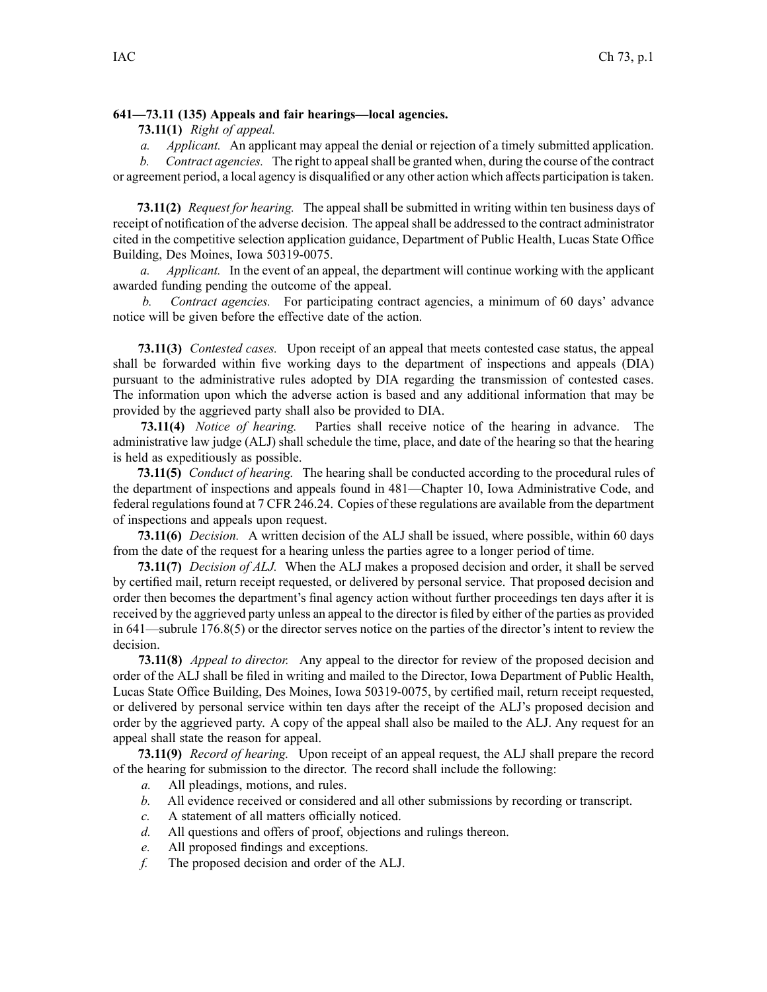## **641—73.11 (135) Appeals and fair hearings—local agencies.**

**73.11(1)** *Right of appeal.*

*a. Applicant.* An applicant may appeal the denial or rejection of <sup>a</sup> timely submitted application.

*b. Contract agencies.* The right to appealshall be granted when, during the course of the contract or agreemen<sup>t</sup> period, <sup>a</sup> local agency is disqualified or any other action which affects participation istaken.

**73.11(2)** *Request for hearing.* The appeal shall be submitted in writing within ten business days of receipt of notification of the adverse decision. The appeal shall be addressed to the contract administrator cited in the competitive selection application guidance, Department of Public Health, Lucas State Office Building, Des Moines, Iowa 50319-0075.

*a. Applicant.* In the event of an appeal, the department will continue working with the applicant awarded funding pending the outcome of the appeal.

*b. Contract agencies.* For participating contract agencies, <sup>a</sup> minimum of 60 days' advance notice will be given before the effective date of the action.

**73.11(3)** *Contested cases.* Upon receipt of an appeal that meets contested case status, the appeal shall be forwarded within five working days to the department of inspections and appeals (DIA) pursuan<sup>t</sup> to the administrative rules adopted by DIA regarding the transmission of contested cases. The information upon which the adverse action is based and any additional information that may be provided by the aggrieved party shall also be provided to DIA.

**73.11(4)** *Notice of hearing.* Parties shall receive notice of the hearing in advance. The administrative law judge (ALJ) shall schedule the time, place, and date of the hearing so that the hearing is held as expeditiously as possible.

**73.11(5)** *Conduct of hearing.* The hearing shall be conducted according to the procedural rules of the department of inspections and appeals found in [481—Chapter](https://www.legis.iowa.gov/docs/iac/chapter/481.10.pdf) 10, Iowa Administrative Code, and federal regulations found at 7 CFR 246.24. Copies of these regulations are available from the department of inspections and appeals upon request.

**73.11(6)** *Decision.* A written decision of the ALJ shall be issued, where possible, within 60 days from the date of the reques<sup>t</sup> for <sup>a</sup> hearing unless the parties agree to <sup>a</sup> longer period of time.

**73.11(7)** *Decision of ALJ.* When the ALJ makes <sup>a</sup> proposed decision and order, it shall be served by certified mail, return receipt requested, or delivered by personal service. That proposed decision and order then becomes the department's final agency action without further proceedings ten days after it is received by the aggrieved party unless an appeal to the director is filed by either of the parties as provided in 641—subrule [176.8\(5\)](https://www.legis.iowa.gov/docs/iac/rule/641.176.8.pdf) or the director serves notice on the parties of the director's intent to review the decision.

**73.11(8)** *Appeal to director.* Any appeal to the director for review of the proposed decision and order of the ALJ shall be filed in writing and mailed to the Director, Iowa Department of Public Health, Lucas State Office Building, Des Moines, Iowa 50319-0075, by certified mail, return receipt requested, or delivered by personal service within ten days after the receipt of the ALJ's proposed decision and order by the aggrieved party. A copy of the appeal shall also be mailed to the ALJ. Any reques<sup>t</sup> for an appeal shall state the reason for appeal.

**73.11(9)** *Record of hearing.* Upon receipt of an appeal request, the ALJ shall prepare the record of the hearing for submission to the director. The record shall include the following:

- *a.* All pleadings, motions, and rules.
- *b.* All evidence received or considered and all other submissions by recording or transcript.
- *c.* A statement of all matters officially noticed.
- *d.* All questions and offers of proof, objections and rulings thereon.
- *e.* All proposed findings and exceptions.
- *f.* The proposed decision and order of the ALJ.